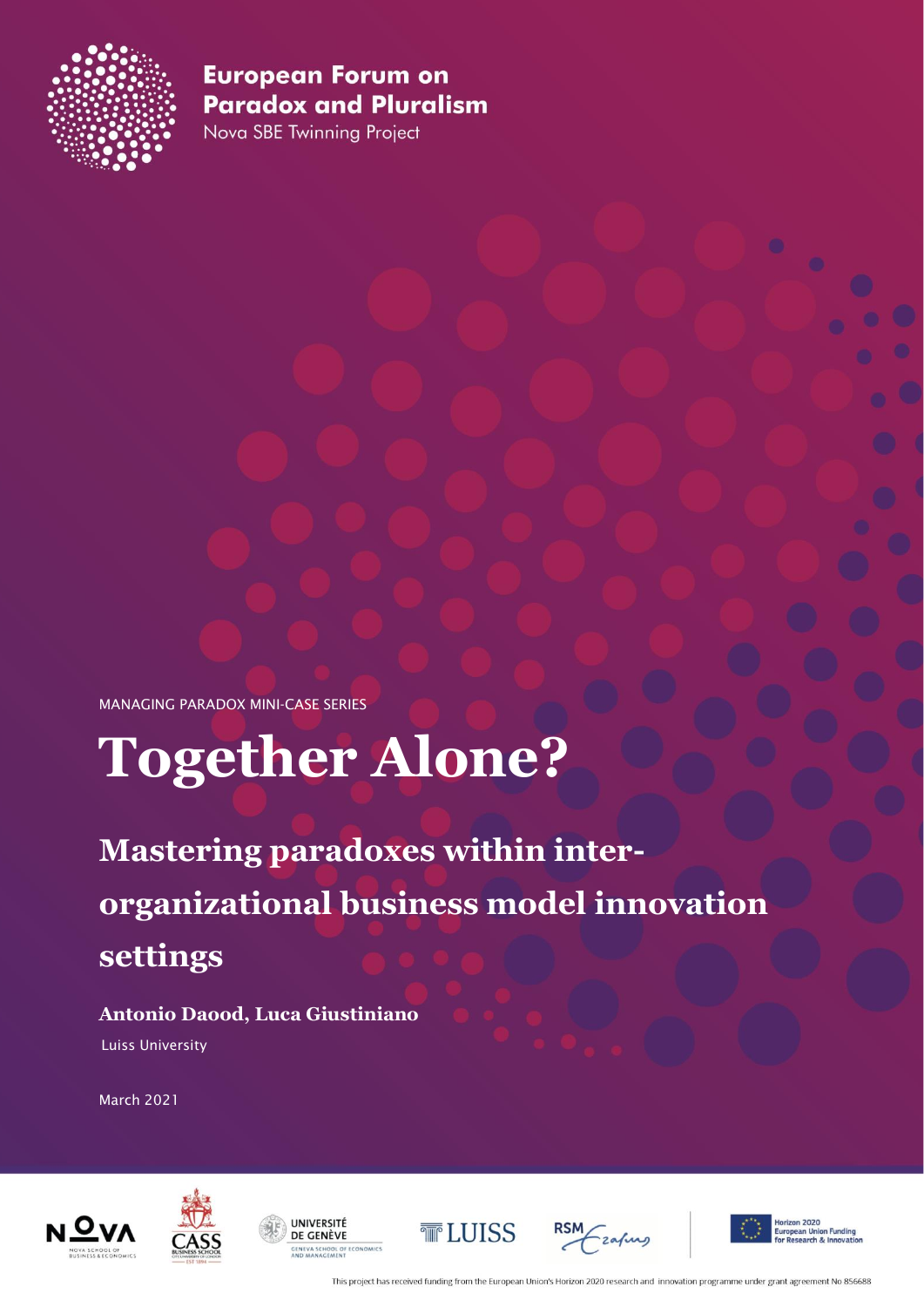

Nova SBE Twinning Project

MANAGING PARADOX MINI-CASE SERIES

# **Together Alone?**

**Mastering paradoxes within interorganizational business model innovation settings**

## **Antonio Daood, Luca Giustiniano**

Luiss University

March 2021





**IJNIVERSITÉ** DE GENÈVE **SENEVA SCHOOL OF ECONOMICS** 







n Funding<br>Jangvation

This project has received funding from the European Union's Horizon 2020 research and innovation programme under grant agreement No 856688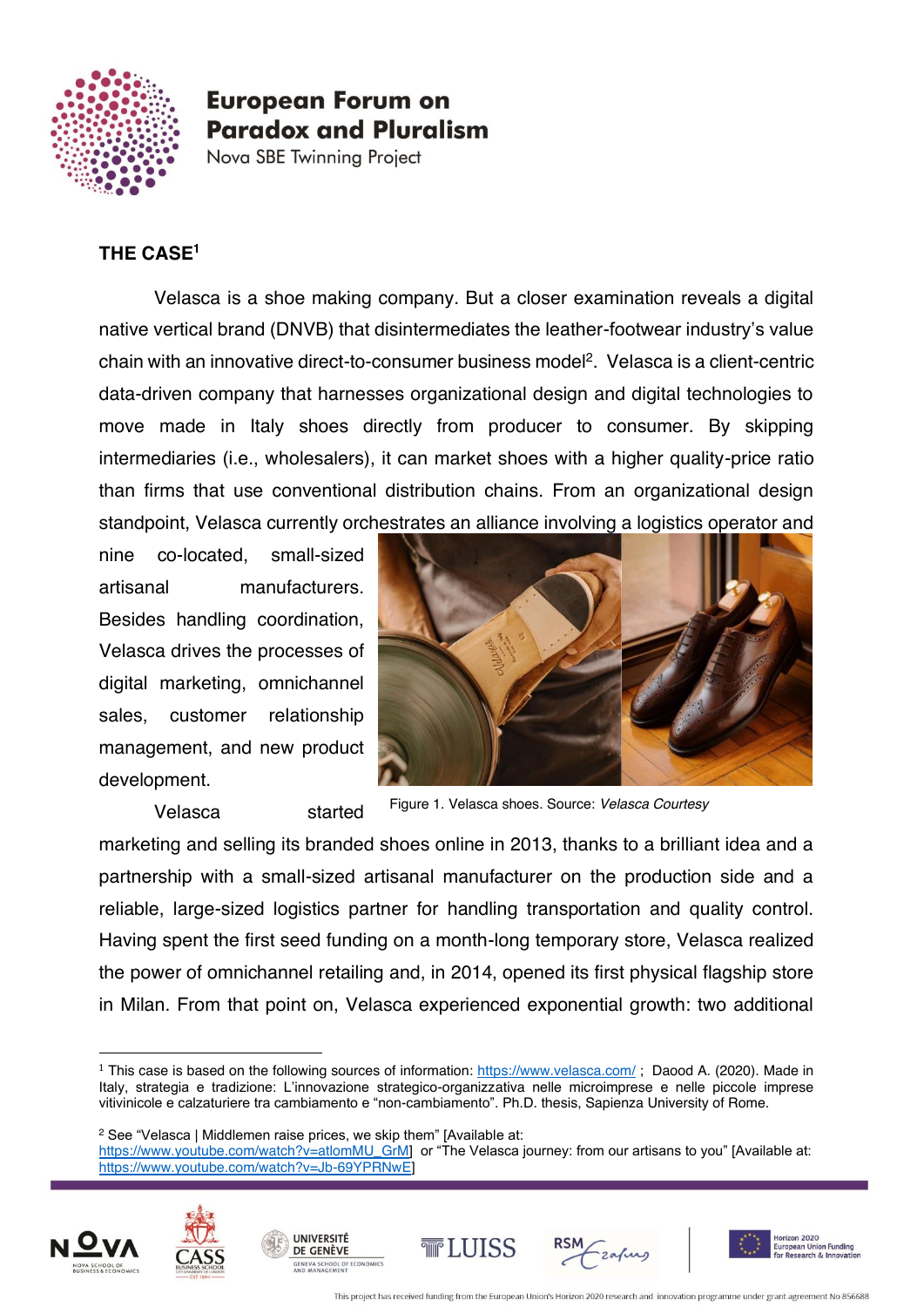

Nova SBE Twinning Project

#### **THE CASE1**

Velasca is a shoe making company. But a closer examination reveals a digital native vertical brand (DNVB) that disintermediates the leather-footwear industry's value chain with an innovative direct-to-consumer business model<sup>2</sup>. Velasca is a client-centric data-driven company that harnesses organizational design and digital technologies to move made in Italy shoes directly from producer to consumer. By skipping intermediaries (i.e., wholesalers), it can market shoes with a higher quality-price ratio than firms that use conventional distribution chains. From an organizational design standpoint, Velasca currently orchestrates an alliance involving a logistics operator and

nine co-located, small-sized artisanal manufacturers. Besides handling coordination, Velasca drives the processes of digital marketing, omnichannel sales, customer relationship management, and new product development.



Velasca started

Figure 1. Velasca shoes. Source: *Velasca Courtesy*

marketing and selling its branded shoes online in 2013, thanks to a brilliant idea and a partnership with a small-sized artisanal manufacturer on the production side and a reliable, large-sized logistics partner for handling transportation and quality control. Having spent the first seed funding on a month-long temporary store, Velasca realized the power of omnichannel retailing and, in 2014, opened its first physical flagship store in Milan. From that point on, Velasca experienced exponential growth: two additional

**UNIVERSITÉ** 

DE GENÈVE

**GENEVA SCHOOL OF ECONO**<br>AND MANAGEMENT

[https://www.youtube.com/watch?v=atlomMU\\_GrM](https://www.youtube.com/watch?v=atlomMU_GrM)] or "The Velasca journey: from our artisans to you" [Available at: https://www.youtube.com/watch?v=Jb-69YPRNwF











<sup>&</sup>lt;sup>1</sup> This case is based on the following sources of information:<https://www.velasca.com/>; Daood A. (2020). Made in Italy, strategia e tradizione: L'innovazione strategico-organizzativa nelle microimprese e nelle piccole imprese vitivinicole e calzaturiere tra cambiamento e "non-cambiamento". Ph.D. thesis, Sapienza University of Rome.

<sup>&</sup>lt;sup>2</sup> See "Velasca | Middlemen raise prices, we skip them" [Available at: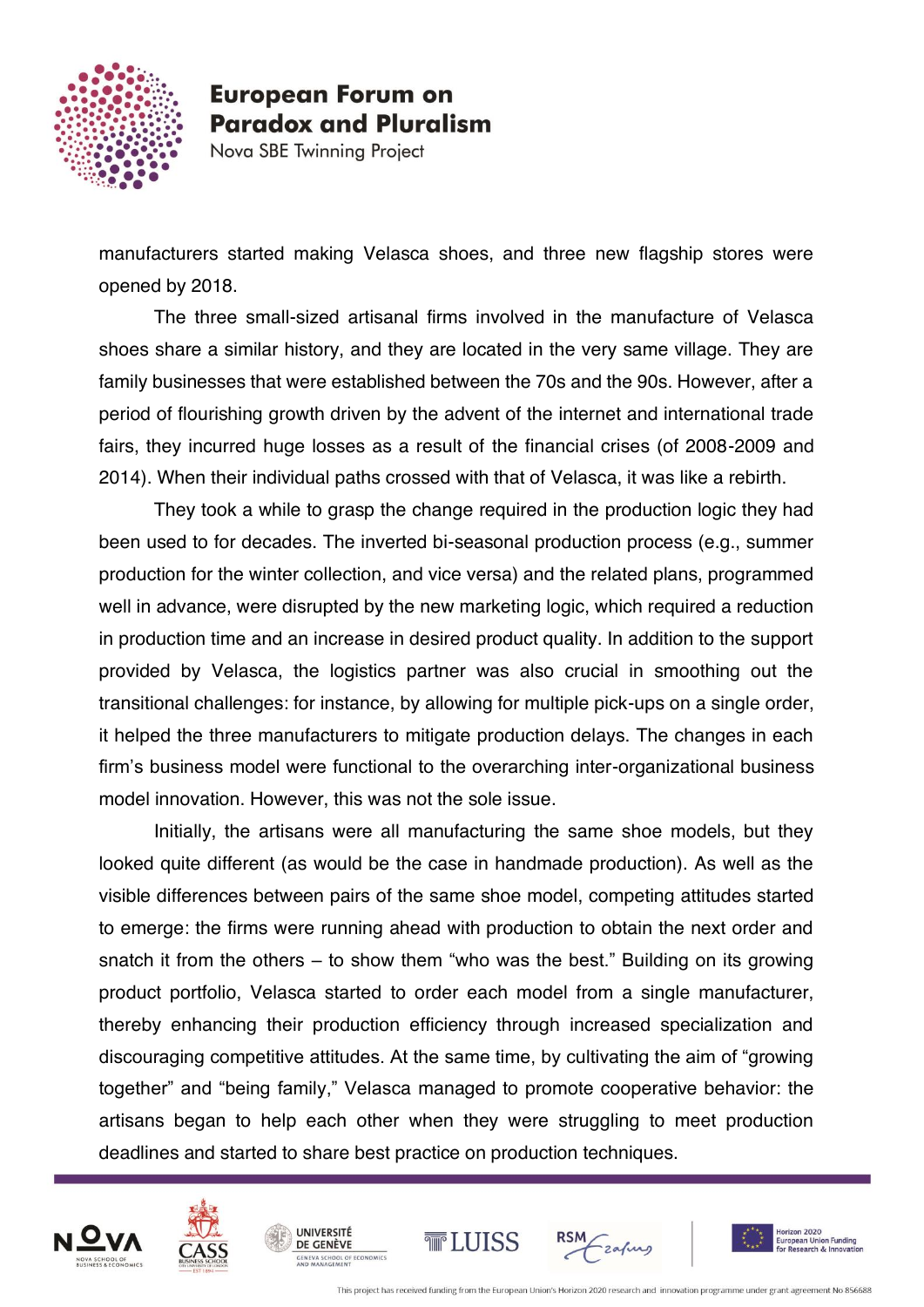

Nova SBE Twinning Project

manufacturers started making Velasca shoes, and three new flagship stores were opened by 2018.

The three small-sized artisanal firms involved in the manufacture of Velasca shoes share a similar history, and they are located in the very same village. They are family businesses that were established between the 70s and the 90s. However, after a period of flourishing growth driven by the advent of the internet and international trade fairs, they incurred huge losses as a result of the financial crises (of 2008-2009 and 2014). When their individual paths crossed with that of Velasca, it was like a rebirth.

They took a while to grasp the change required in the production logic they had been used to for decades. The inverted bi-seasonal production process (e.g., summer production for the winter collection, and vice versa) and the related plans, programmed well in advance, were disrupted by the new marketing logic, which required a reduction in production time and an increase in desired product quality. In addition to the support provided by Velasca, the logistics partner was also crucial in smoothing out the transitional challenges: for instance, by allowing for multiple pick-ups on a single order, it helped the three manufacturers to mitigate production delays. The changes in each firm's business model were functional to the overarching inter-organizational business model innovation. However, this was not the sole issue.

Initially, the artisans were all manufacturing the same shoe models, but they looked quite different (as would be the case in handmade production). As well as the visible differences between pairs of the same shoe model, competing attitudes started to emerge: the firms were running ahead with production to obtain the next order and snatch it from the others – to show them "who was the best." Building on its growing product portfolio, Velasca started to order each model from a single manufacturer, thereby enhancing their production efficiency through increased specialization and discouraging competitive attitudes. At the same time, by cultivating the aim of "growing together" and "being family," Velasca managed to promote cooperative behavior: the artisans began to help each other when they were struggling to meet production deadlines and started to share best practice on production techniques.





**UNIVERSITÉ** 

DE GENÈVE **GENEVA SCHOOL OF ECONOMICS** 





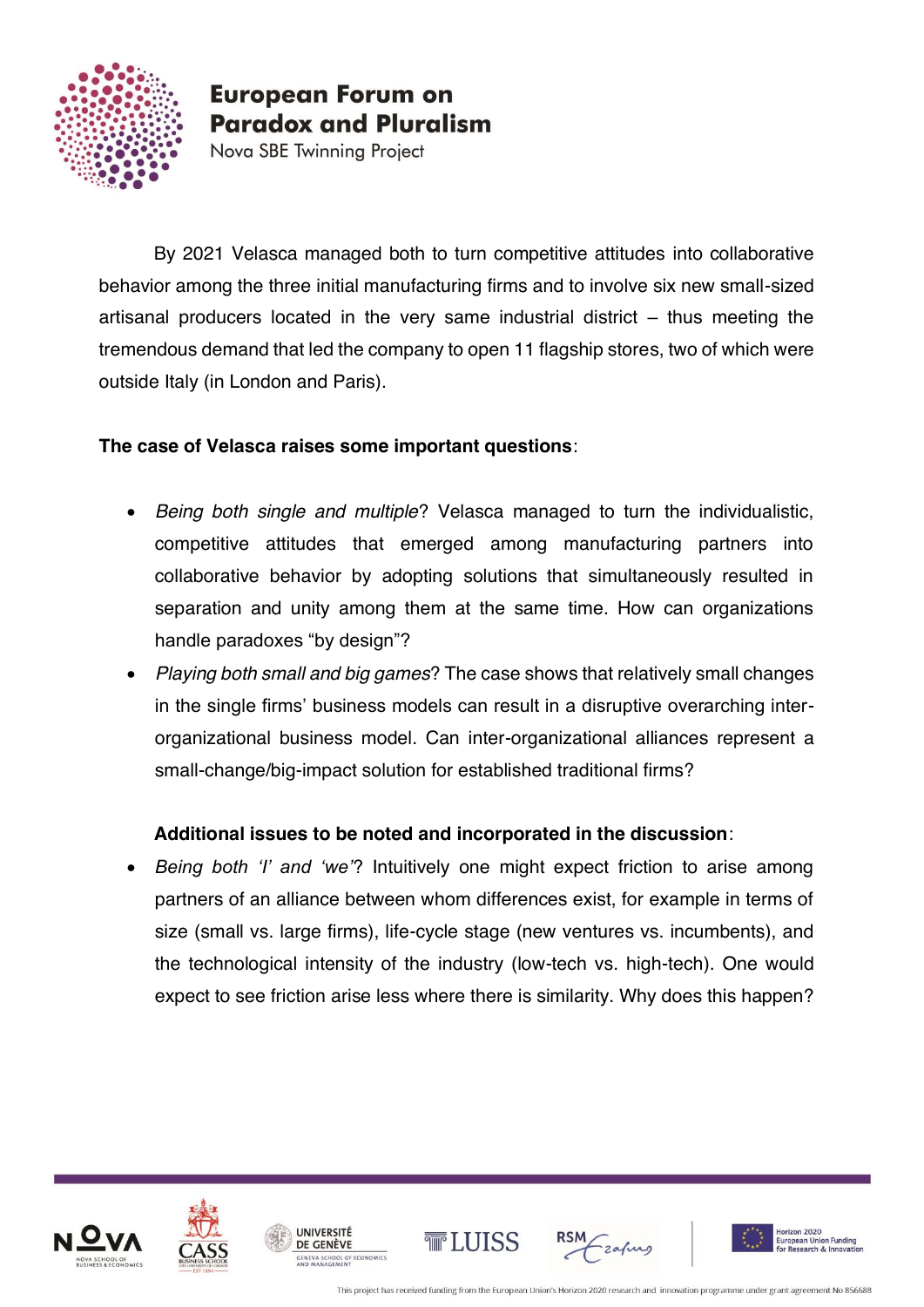

Nova SBE Twinning Project

By 2021 Velasca managed both to turn competitive attitudes into collaborative behavior among the three initial manufacturing firms and to involve six new small-sized artisanal producers located in the very same industrial district – thus meeting the tremendous demand that led the company to open 11 flagship stores, two of which were outside Italy (in London and Paris).

#### **The case of Velasca raises some important questions**:

- *Being both single and multiple*? Velasca managed to turn the individualistic, competitive attitudes that emerged among manufacturing partners into collaborative behavior by adopting solutions that simultaneously resulted in separation and unity among them at the same time. How can organizations handle paradoxes "by design"?
- *Playing both small and big games*? The case shows that relatively small changes in the single firms' business models can result in a disruptive overarching interorganizational business model. Can inter-organizational alliances represent a small-change/big-impact solution for established traditional firms?

#### **Additional issues to be noted and incorporated in the discussion**:

• *Being both 'I' and 'we'*? Intuitively one might expect friction to arise among partners of an alliance between whom differences exist, for example in terms of size (small vs. large firms), life-cycle stage (new ventures vs. incumbents), and the technological intensity of the industry (low-tech vs. high-tech). One would expect to see friction arise less where there is similarity. Why does this happen?











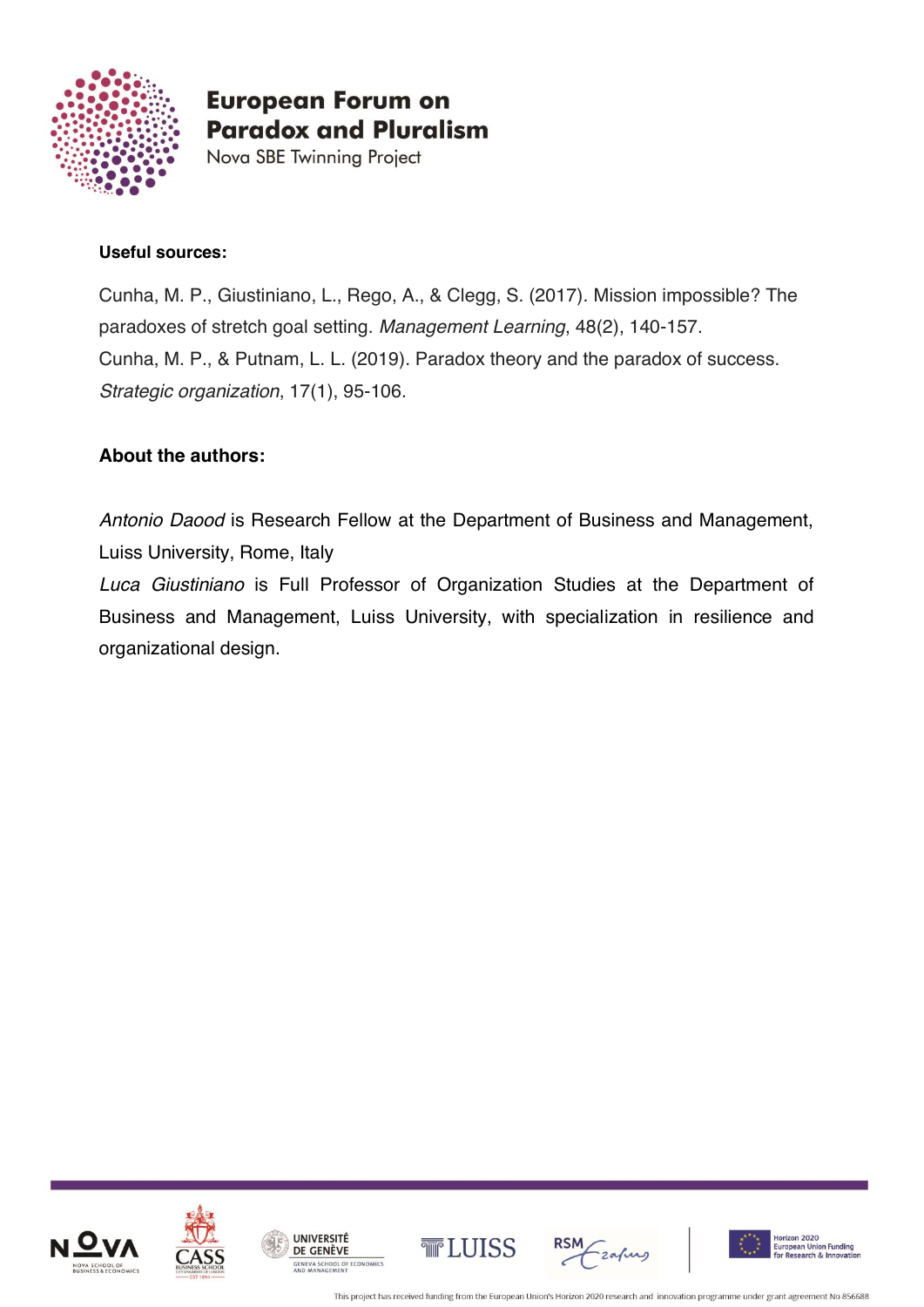

Nova SBE Twinning Project

#### **Useful sources:**

Cunha, M. P., Giustiniano, L., Rego, A., & Clegg, S. (2017). Mission impossible? The paradoxes of stretch goal setting. *Management Learning*, 48(2), 140-157. Cunha, M. P., & Putnam, L. L. (2019). Paradox theory and the paradox of success. *Strategic organization*, 17(1), 95-106.

#### **About the authors:**

*Antonio Daood* is Research Fellow at the Department of Business and Management, Luiss University, Rome, Italy

*Luca Giustiniano* is Full Professor of Organization Studies at the Department of Business and Management, Luiss University, with specialization in resilience and organizational design.